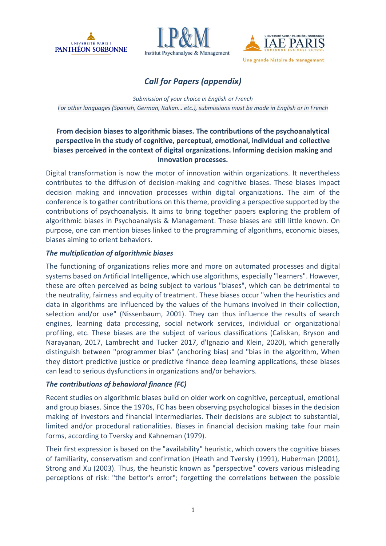





# *Call for Papers (appendix)*

*Submission of your choice in English or French For other languages (Spanish, German, Italian… etc.), submissions must be made in English or in French*

# **From decision biases to algorithmic biases. The contributions of the psychoanalytical perspective in the study of cognitive, perceptual, emotional, individual and collective biases perceived in the context of digital organizations. Informing decision making and innovation processes.**

Digital transformation is now the motor of innovation within organizations. It nevertheless contributes to the diffusion of decision-making and cognitive biases. These biases impact decision making and innovation processes within digital organizations. The aim of the conference is to gather contributions on this theme, providing a perspective supported by the contributions of psychoanalysis. It aims to bring together papers exploring the problem of algorithmic biases in Psychoanalysis & Management. These biases are still little known. On purpose, one can mention biases linked to the programming of algorithms, economic biases, biases aiming to orient behaviors.

# *The multiplication of algorithmic biases*

The functioning of organizations relies more and more on automated processes and digital systems based on Artificial Intelligence, which use algorithms, especially "learners". However, these are often perceived as being subject to various "biases", which can be detrimental to the neutrality, fairness and equity of treatment. These biases occur "when the heuristics and data in algorithms are influenced by the values of the humans involved in their collection, selection and/or use" (Nissenbaum, 2001). They can thus influence the results of search engines, learning data processing, social network services, individual or organizational profiling, etc. These biases are the subject of various classifications (Caliskan, Bryson and Narayanan, 2017, Lambrecht and Tucker 2017, d'Ignazio and Klein, 2020), which generally distinguish between "programmer bias" (anchoring bias) and "bias in the algorithm, When they distort predictive justice or predictive finance deep learning applications, these biases can lead to serious dysfunctions in organizations and/or behaviors.

# *The contributions of behavioral finance (FC)*

Recent studies on algorithmic biases build on older work on cognitive, perceptual, emotional and group biases. Since the 1970s, FC has been observing psychological biases in the decision making of investors and financial intermediaries. Their decisions are subject to substantial, limited and/or procedural rationalities. Biases in financial decision making take four main forms, according to Tversky and Kahneman (1979).

Their first expression is based on the "availability" heuristic, which covers the cognitive biases of familiarity, conservatism and confirmation (Heath and Tversky (1991), Huberman (2001), Strong and Xu (2003). Thus, the heuristic known as "perspective" covers various misleading perceptions of risk: "the bettor's error"; forgetting the correlations between the possible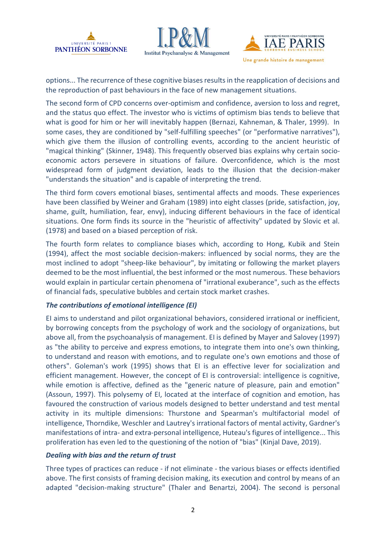





options... The recurrence of these cognitive biases results in the reapplication of decisions and the reproduction of past behaviours in the face of new management situations.

The second form of CPD concerns over-optimism and confidence, aversion to loss and regret, and the status quo effect. The investor who is victims of optimism bias tends to believe that what is good for him or her will inevitably happen (Bernazi, Kahneman, & Thaler, 1999). In some cases, they are conditioned by "self-fulfilling speeches" (or "performative narratives"), which give them the illusion of controlling events, according to the ancient heuristic of "magical thinking" (Skinner, 1948). This frequently observed bias explains why certain socioeconomic actors persevere in situations of failure. Overconfidence, which is the most widespread form of judgment deviation, leads to the illusion that the decision-maker "understands the situation" and is capable of interpreting the trend.

The third form covers emotional biases, sentimental affects and moods. These experiences have been classified by Weiner and Graham (1989) into eight classes (pride, satisfaction, joy, shame, guilt, humiliation, fear, envy), inducing different behaviours in the face of identical situations. One form finds its source in the "heuristic of affectivity" updated by Slovic et al. (1978) and based on a biased perception of risk.

The fourth form relates to compliance biases which, according to Hong, Kubik and Stein (1994), affect the most sociable decision-makers: influenced by social norms, they are the most inclined to adopt "sheep-like behaviour", by imitating or following the market players deemed to be the most influential, the best informed or the most numerous. These behaviors would explain in particular certain phenomena of "irrational exuberance", such as the effects of financial fads, speculative bubbles and certain stock market crashes.

# *The contributions of emotional intelligence (EI)*

EI aims to understand and pilot organizational behaviors, considered irrational or inefficient, by borrowing concepts from the psychology of work and the sociology of organizations, but above all, from the psychoanalysis of management. EI is defined by Mayer and Salovey (1997) as "the ability to perceive and express emotions, to integrate them into one's own thinking, to understand and reason with emotions, and to regulate one's own emotions and those of others". Goleman's work (1995) shows that EI is an effective lever for socialization and efficient management. However, the concept of EI is controversial: intelligence is cognitive, while emotion is affective, defined as the "generic nature of pleasure, pain and emotion" (Assoun, 1997). This polysemy of EI, located at the interface of cognition and emotion, has favoured the construction of various models designed to better understand and test mental activity in its multiple dimensions: Thurstone and Spearman's multifactorial model of intelligence, Thorndike, Weschler and Lautrey's irrational factors of mental activity, Gardner's manifestations of intra- and extra-personal intelligence, Huteau's figures of intelligence... This proliferation has even led to the questioning of the notion of "bias" (Kinjal Dave, 2019).

### *Dealing with bias and the return of trust*

Three types of practices can reduce - if not eliminate - the various biases or effects identified above. The first consists of framing decision making, its execution and control by means of an adapted "decision-making structure" (Thaler and Benartzi, 2004). The second is personal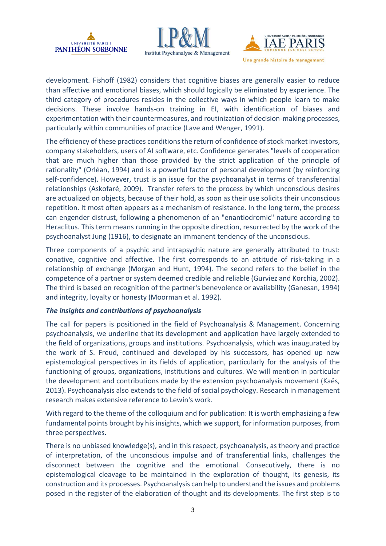





development. Fishoff (1982) considers that cognitive biases are generally easier to reduce than affective and emotional biases, which should logically be eliminated by experience. The third category of procedures resides in the collective ways in which people learn to make decisions. These involve hands-on training in EI, with identification of biases and experimentation with their countermeasures, and routinization of decision-making processes, particularly within communities of practice (Lave and Wenger, 1991).

The efficiency of these practices conditions the return of confidence of stock market investors, company stakeholders, users of AI software, etc. Confidence generates "levels of cooperation that are much higher than those provided by the strict application of the principle of rationality" (Orléan, 1994) and is a powerful factor of personal development (by reinforcing self-confidence). However, trust is an issue for the psychoanalyst in terms of transferential relationships (Askofaré, 2009). Transfer refers to the process by which unconscious desires are actualized on objects, because of their hold, as soon as their use solicits their unconscious repetition. It most often appears as a mechanism of resistance. In the long term, the process can engender distrust, following a phenomenon of an "enantiodromic" nature according to Heraclitus. This term means running in the opposite direction, resurrected by the work of the psychoanalyst Jung (1916), to designate an immanent tendency of the unconscious.

Three components of a psychic and intrapsychic nature are generally attributed to trust: conative, cognitive and affective. The first corresponds to an attitude of risk-taking in a relationship of exchange (Morgan and Hunt, 1994). The second refers to the belief in the competence of a partner or system deemed credible and reliable (Gurviez and Korchia, 2002). The third is based on recognition of the partner's benevolence or availability (Ganesan, 1994) and integrity, loyalty or honesty (Moorman et al. 1992).

### *The insights and contributions of psychoanalysis*

The call for papers is positioned in the field of Psychoanalysis & Management. Concerning psychoanalysis, we underline that its development and application have largely extended to the field of organizations, groups and institutions. Psychoanalysis, which was inaugurated by the work of S. Freud, continued and developed by his successors, has opened up new epistemological perspectives in its fields of application, particularly for the analysis of the functioning of groups, organizations, institutions and cultures. We will mention in particular the development and contributions made by the extension psychoanalysis movement (Kaës, 2013). Psychoanalysis also extends to the field of social psychology. Research in management research makes extensive reference to Lewin's work.

With regard to the theme of the colloquium and for publication: It is worth emphasizing a few fundamental points brought by his insights, which we support, for information purposes, from three perspectives.

There is no unbiased knowledge(s), and in this respect, psychoanalysis, as theory and practice of interpretation, of the unconscious impulse and of transferential links, challenges the disconnect between the cognitive and the emotional. Consecutively, there is no epistemological cleavage to be maintained in the exploration of thought, its genesis, its construction and its processes. Psychoanalysis can help to understand the issues and problems posed in the register of the elaboration of thought and its developments. The first step is to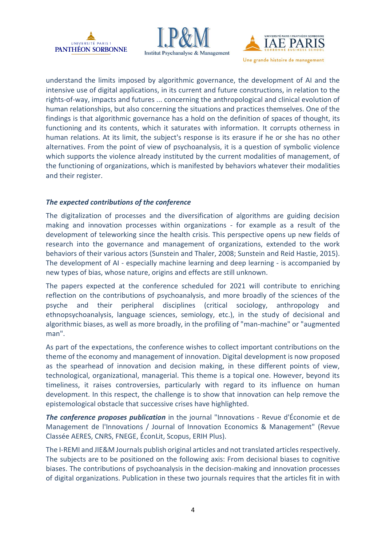





understand the limits imposed by algorithmic governance, the development of AI and the intensive use of digital applications, in its current and future constructions, in relation to the rights-of-way, impacts and futures ... concerning the anthropological and clinical evolution of human relationships, but also concerning the situations and practices themselves. One of the findings is that algorithmic governance has a hold on the definition of spaces of thought, its functioning and its contents, which it saturates with information. It corrupts otherness in human relations. At its limit, the subject's response is its erasure if he or she has no other alternatives. From the point of view of psychoanalysis, it is a question of symbolic violence which supports the violence already instituted by the current modalities of management, of the functioning of organizations, which is manifested by behaviors whatever their modalities and their register.

## *The expected contributions of the conference*

The digitalization of processes and the diversification of algorithms are guiding decision making and innovation processes within organizations - for example as a result of the development of teleworking since the health crisis. This perspective opens up new fields of research into the governance and management of organizations, extended to the work behaviors of their various actors (Sunstein and Thaler, 2008; Sunstein and Reid Hastie, 2015). The development of AI - especially machine learning and deep learning - is accompanied by new types of bias, whose nature, origins and effects are still unknown.

The papers expected at the conference scheduled for 2021 will contribute to enriching reflection on the contributions of psychoanalysis, and more broadly of the sciences of the psyche and their peripheral disciplines (critical sociology, anthropology and ethnopsychoanalysis, language sciences, semiology, etc.), in the study of decisional and algorithmic biases, as well as more broadly, in the profiling of "man-machine" or "augmented man".

As part of the expectations, the conference wishes to collect important contributions on the theme of the economy and management of innovation. Digital development is now proposed as the spearhead of innovation and decision making, in these different points of view, technological, organizational, managerial. This theme is a topical one. However, beyond its timeliness, it raises controversies, particularly with regard to its influence on human development. In this respect, the challenge is to show that innovation can help remove the epistemological obstacle that successive crises have highlighted.

*The conference proposes publication* in the journal "Innovations - Revue d'Économie et de Management de l'Innovations / Journal of Innovation Economics & Management" (Revue Classée AERES, CNRS, FNEGE, ÉconLit, Scopus, ERIH Plus).

The I-REMI and JIE&M Journals publish original articles and not translated articles respectively. The subjects are to be positioned on the following axis: From decisional biases to cognitive biases. The contributions of psychoanalysis in the decision-making and innovation processes of digital organizations. Publication in these two journals requires that the articles fit in with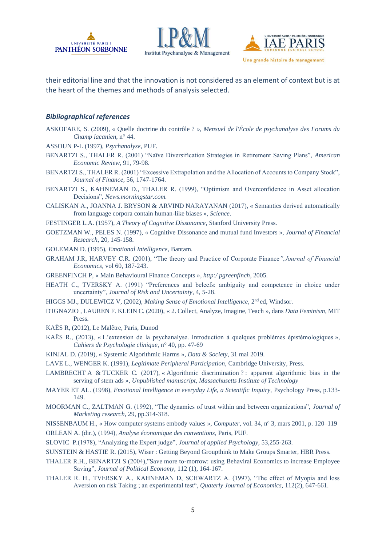





their editorial line and that the innovation is not considered as an element of context but is at the heart of the themes and methods of analysis selected.

### *Bibliographical references*

- ASKOFARE, S. (2009), « Quelle doctrine du contrôle ? *», Mensuel de l'École de psychanalyse des Forums du Champ lacanien,* n° 44.
- ASSOUN P-L (1997), *Psychanalyse,* PUF.
- BENARTZI S., THALER R. (2001) "Naïve Diversification Strategies in Retirement Saving Plans", *American Economic Review,* 91, 79-98.
- BENARTZI S., THALER R. (2001) "Excessive Extrapolation and the Allocation of Accounts to Company Stock", *Journal of Finance*, 56, 1747-1764.

BENARTZI S., KAHNEMAN D., THALER R. (1999), "Optimism and Overconfidence in Asset allocation Decisions", *News.morningstar.com.*

- CALISKAN A., JOANNA J. BRYSON & ARVIND NARAYANAN (2017), « Semantics derived automatically from language corpora contain human-like biases », *[Science](https://fr.wikipedia.org/wiki/Science_(revue))*.
- FESTINGER L.A. (1957), *A Theory of Cognitive Dissonance,* Stanford University Press.
- GOETZMAN W., PELES N. (1997), « Cognitive Dissonance and mutual fund Investors », *Journal of Financial Research*, 20, 145-158.

GOLEMAN D. (1995), *Emotional Intelligence,* Bantam.

- GRAHAM J.R, HARVEY C.R. (2001), "The theory and Practice of Corporate Finance*",Journal of Financial Economics,* vol 60, 187-243.
- GREENFINCH P, « Main Behavioural Finance Concepts », *http:/ pgreenfinch*, 2005.
- HEATH C., TVERSKY A. (1991) "Preferences and beleefs: ambiguity and competence in choice under uncertainty", *Journal of Risk and Uncertainty*, 4, 5-28.
- HIGGS MJ., DULEWICZ V, (2002), *Making Sense of Emotional Intelligence*, 2<sup>nd</sup> ed, Windsor.
- D'IGNAZIO , LAUREN F. KLEIN C. (2020), « 2. Collect, Analyze, Imagine, Teach », dans *Data Feminism*, MIT **Press**.
- KAËS R, (2012), Le Malêtre, Paris, Dunod
- KAËS R., (2013), « L'extension de la psychanalyse. Introduction à quelques problèmes épistémologiques », *Cahiers de Psychologie clinique*, n° 40, pp. 47-69
- KINJAL D. (2019), « Systemic Algorithmic Harms », *Data & Society*, 31 mai 2019.
- LAVE L., WENGER K. (1991), *Legitimate Peripheral Participation,* Cambridge University, Press.
- LAMBRECHT A & TUCKER C. (2017), « Algorithmic discrimination ? : apparent algorithmic bias in the serving of stem ads », *Unpublished manuscript, Massachusetts Institute of Technology*
- MAYER ET AL. (1998), *Emotional Intelligence in everyday Life, a Scientific Inquiry*, Psychology Press, p.133-149.
- MOORMAN C., ZALTMAN G. (1992), "The dynamics of trust within and between organizations", *Journal of Marketing research,* 29, pp.314-318.
- NISSENBAUM H., « How computer systems embody values », *Computer*, vol. 34, n<sup>o</sup> 3, mars 2001, p. 120–119
- ORLEAN A. (dir.), (1994), *Analyse économique des conventions*, Paris, PUF.
- SLOVIC P.(1978), "Analyzing the Expert judge", *Journal of applied Psychology,* 53,255-263.
- SUNSTEIN & HASTIE R. (2015), Wiser : Getting Beyond Groupthink to Make Groups Smarter, HBR Press.
- THALER R.H., BENARTZI S (2004),"Save more to-morrow: using Behaviral Economics to increase Employee Saving", *Journal of Political Economy,* 112 (1), 164-167.
- THALER R. H., TVERSKY A., KAHNEMAN D, SCHWARTZ A. (1997), "The effect of Myopia and loss Aversion on risk Taking ; an experimental test", *Quaterly Journal of Economics,* 112(2), 647-661.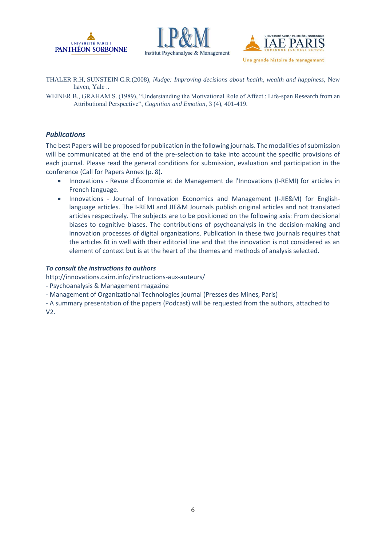





THALER R.H, SUNSTEIN C.R.(2008), *Nudge: Improving decisions about health, wealth and happiness,* New haven, Yale ..

WEINER B., GRAHAM S. (1989), "Understanding the Motivational Role of Affect : Life-span Research from an Attributional Perspective", *Cognition and Emotion*, 3 (4), 401-419.

#### *Publications*

The best Papers will be proposed for publication in the following journals. The modalities of submission will be communicated at the end of the pre-selection to take into account the specific provisions of each journal. Please read the general conditions for submission, evaluation and participation in the conference (Call for Papers Annex (p. 8).

- Innovations Revue d'Économie et de Management de l'Innovations (I-REMI) for articles in French language.
- Innovations Journal of Innovation Economics and Management (I-JIE&M) for Englishlanguage articles. The I-REMI and JIE&M Journals publish original articles and not translated articles respectively. The subjects are to be positioned on the following axis: From decisional biases to cognitive biases. The contributions of psychoanalysis in the decision-making and innovation processes of digital organizations. Publication in these two journals requires that the articles fit in well with their editorial line and that the innovation is not considered as an element of context but is at the heart of the themes and methods of analysis selected.

#### *To consult the instructions to authors*

http://innovations.cairn.info/instructions-aux-auteurs/

- Psychoanalysis & Management magazine
- Management of Organizational Technologies journal (Presses des Mines, Paris)
- A summary presentation of the papers (Podcast) will be requested from the authors, attached to V2.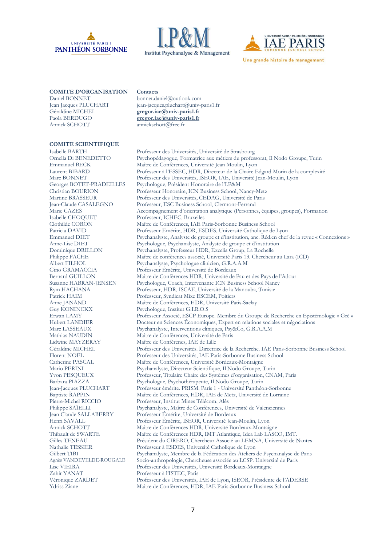





#### **COMITE D'ORGANISATION Contacts**

Géraldine MICHEL **[gregor.iae@univ-paris1.fr](mailto:gregor.iae@univ-paris1.fr)**<br>Paola BERDUGO **gregor.iae@univ-paris1.fr** Paola BERDUGO **[gregor.iae@univ-paris1.fr](mailto:gregor.iae@univ-paris1.fr)**<br>Annick SCHOTT annickschott@free fr

#### **COMITE SCIENTIFIQUE**

Isabelle CHOQUET Professeur, ICHEC, Bruxelles Guy KONINCKX Psychologue, Institut G.I.R.O.S Zahir YANAT Professeur à l'ISTEC, Paris

Daniel BONNET bonnet.daniel@outlook.com Jean Jacques PLUCHART jean-jacques.pluchart@univ-paris1.fr<br>Géraldine MICHEL **gregor.jae@univ-paris1.fr** 

annickschott@free.fr

Isabelle BARTH Professeur des Universités, Université de Strasbourg Ornella Di BENEDETTO Psychopédagogue, Formatrice aux métiers du professorat, Il Nodo Groupe, Turin Emmanuel BECK Maître de Conférences, Université Jean Moulin, Lyon Laurent BIBARD Professeur à l'ESSEC, HDR, Directeur de la Chaire Edgard Morin de la complexité Marc BONNET Professeur des Universités, ISEOR, IAE, Université Jean-Moulin, Lyon Georges BOTET-PRADEILLES Psychologue, Président Honoraire de l'I.P&M<br>Christian BOURION Professeur Honoraire, ICN Business School, N Professeur Honoraire, ICN Business School, Nancy-Metz Martine BRASSEUR<br>
Professeur des Universités, CEDAG, Université de Paris<br>
Iean-Claude CASALEGNO<br>
Professeur, ESC Business School, Clermont-Ferrand Professeur, ESC Business School, Clermont-Ferrand Marie CAZES Accompagnement d'orientation analytique (Personnes, équipes, groupes), Formation Maître de Conférences, IAE Paris-Sorbonne Business School Patricia DAVID Professeur Emérite, HDR, ESDES, Université Catholique de Lyon<br>
Emmanuel DIET Psychanalyste. Analyste de proupe et d'institution. anc. Réd.en chef Emmanuel DIET Psychanalyste, Analyste de groupe et d'institution, anc. Réd.en chef de la revue « Connexions » Anne-Lise DIET Psychologue, Psychanalyste, Analyste de groupe et d'institution<br>Dominique DRILLON Psychanalyste, Professeur HDR, Excelia Group, La Rochelle Psychanalyste, Professeur HDR, Excelia Group, La Rochelle Philippe FACHE Maître de conférences associé, Université Paris 13. Chercheur au Lara (ICD) Albert FILHOL Psychanalyste, Psychologue clinicien, G.R.A.A.M<br>Gino GRAMACCIA Professeur Émérite. Université de Bordeaux Professeur Émérite, Université de Bordeaux Bernard GUILLON Maître de Conférences HDR, Université de Pau et des Pays de l'Adour Susanne HABRAN-JENSEN Psychologue, Coach, Intervenante ICN Business School Nancy Rym HACHANA Professeur, HDR, ISCAE, Université de la Manouba, Tunisie Patrick HAIM Professeur, Syndicat Mixe ESCEM, Poitiers Anne JANAND Maître de Conférences, HDR, Université Patis-Saclay Erwan LAMY Professeur Associé, ESCP Europe. Membre du Groupe de Recherche en Épistémologie « Grè » Docteur en Sciences Économiques, Expert en relations sociales et négociations Marc LASSEAUX Psychanalyste, Interventions cliniques, Psy&Co, G.R.A.A.M<br>Mathias NAUDIN Mathias NAUDIN Mathias NAUDIN Maître de Conférences, Université de Paris Lidwine MAYZERAY Maître de Conférenes, IAE de Lille Géraldine MICHEL Professeur des Universités. Directrice de la Recherche. IAE Paris-Sorbonne Business School Florent NOËL Professeur des Universités, IAE Paris-Sorbonne Business School Catherine PASCAL Maître de Conférences, Université Bordeaux-Montaigne Mario PERINI Psychanalyste, Directeur Scientifique, Il Nodo Groupe, Turin<br>
Yvon PESQUEUX Professeur, Titulaire Chaire des Systèmes d'organisation, CNA Professeur, Titulaire Chaire des Systèmes d'organisation, CNAM, Paris Barbara PIAZZA Psychologue, Psychothérapeute, Il Nodo Groupe, Turin Professeur émérite. PRISM. Paris 1 - Université Panthéon-Sorbonne Baptiste RAPPIN Maître de Conférences, HDR, IAE de Metz, Université de Lorraine Pierre-Michel RICCIO Professeur, Institut Mines Télécom, Alès Philippe SAÏELLI Psychanalyste, Maître de Conférences, Université de Valenciennes Jean Claude SALLABERRY Professeur Émérite, Université de Bordeaux Professeur Émérite, ISEOR, Université Jean-Moulin, Lyon Annick SCHOTT Maître de Conférences HDR, Université Bordeaux-Montaigne Thibault de SWARTE Maître de Conférences HDR, IMT Atlantique, Idea Lab LASCO, IMT. Président du CIRERO, Chercheur Associé au LEMNA, Université de Nantes Nathalie TESSIER Professeur à ESDES, Université Catholique de Lyon Gilbert TIBI Psychanalyste, Membre de la Fédération des Ateliers de Psychanalyse de Paris<br>Agnès VANDEVELDE-ROUGALE Socio-anthropologie. Chercheuse associée au LCSP. Université de Paris Agnès VANDEVELDE-ROUGALE Socio-anthropologie, Chercheuse associée au LCSP. Université de Paris Lise VIEIRA Professeur des Universités, Université Bordeaux-Montaigne Professeur des Universités, IAE de Lyon, ISEOR, Présidente de l'ADERSE Ydriss Ziane Maître de Conférences, HDR, IAE Paris-Sorbonne Business School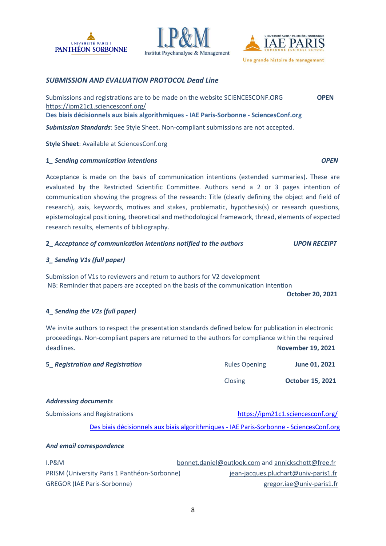





### *SUBMISSION AND EVALUATION PROTOCOL Dead Line*

Submissions and registrations are to be made on the website SCIENCESCONF.ORG **OPEN** <https://ipm21c1.sciencesconf.org/> **[Des biais décisionnels aux biais algorithmiques -](https://ipm21c1.sciencesconf.org/) IAE Paris-Sorbonne - SciencesConf.org**

*Submission Standards*: See Style Sheet. Non-compliant submissions are not accepted.

**Style Sheet**: Available at SciencesConf.org

### **1***\_ Sending communication intentions OPEN*

Acceptance is made on the basis of communication intentions (extended summaries). These are evaluated by the Restricted Scientific Committee. Authors send a 2 or 3 pages intention of communication showing the progress of the research: Title (clearly defining the object and field of research), axis, keywords, motives and stakes, problematic, hypothesis(s) or research questions, epistemological positioning, theoretical and methodological framework, thread, elements of expected research results, elements of bibliography.

#### **2\_** *Acceptance of communication intentions notified to the authors UPON RECEIPT*

### *3\_ Sending V1s (full paper)*

Submission of V1s to reviewers and return to authors for V2 development NB: Reminder that papers are accepted on the basis of the communication intention

**October 20, 2021**

### **4**\_ *Sending the V2s (full paper)*

We invite authors to respect the presentation standards defined below for publication in electronic proceedings. Non-compliant papers are returned to the authors for compliance within the required deadlines. **November 19, 2021**

| 5 Registration and Registration | <b>Rules Opening</b> | June 01, 2021           |
|---------------------------------|----------------------|-------------------------|
|                                 | Closing              | <b>October 15, 2021</b> |

#### *Addressing documents*

Submissions and Registrations <https://ipm21c1.sciencesconf.org/> [Des biais décisionnels aux biais algorithmiques -](https://ipm21c1.sciencesconf.org/) IAE Paris-Sorbonne - SciencesConf.org

#### *And email correspondence*

| 1.98M                                        | bonnet.daniel@outlook.com and annickschott@free.fr |
|----------------------------------------------|----------------------------------------------------|
| PRISM (University Paris 1 Panthéon-Sorbonne) | jean-jacques.pluchart@univ-paris1.fr               |
| <b>GREGOR (IAE Paris-Sorbonne)</b>           | gregor.iae@univ-paris1.fr                          |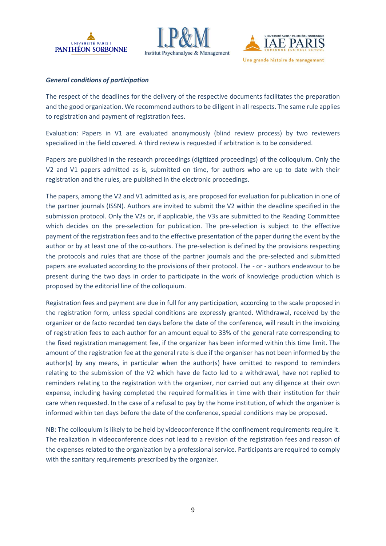





### *General conditions of participation*

The respect of the deadlines for the delivery of the respective documents facilitates the preparation and the good organization. We recommend authors to be diligent in all respects. The same rule applies to registration and payment of registration fees.

Evaluation: Papers in V1 are evaluated anonymously (blind review process) by two reviewers specialized in the field covered. A third review is requested if arbitration is to be considered.

Papers are published in the research proceedings (digitized proceedings) of the colloquium. Only the V2 and V1 papers admitted as is, submitted on time, for authors who are up to date with their registration and the rules, are published in the electronic proceedings.

The papers, among the V2 and V1 admitted as is, are proposed for evaluation for publication in one of the partner journals (ISSN). Authors are invited to submit the V2 within the deadline specified in the submission protocol. Only the V2s or, if applicable, the V3s are submitted to the Reading Committee which decides on the pre-selection for publication. The pre-selection is subject to the effective payment of the registration fees and to the effective presentation of the paper during the event by the author or by at least one of the co-authors. The pre-selection is defined by the provisions respecting the protocols and rules that are those of the partner journals and the pre-selected and submitted papers are evaluated according to the provisions of their protocol. The - or - authors endeavour to be present during the two days in order to participate in the work of knowledge production which is proposed by the editorial line of the colloquium.

Registration fees and payment are due in full for any participation, according to the scale proposed in the registration form, unless special conditions are expressly granted. Withdrawal, received by the organizer or de facto recorded ten days before the date of the conference, will result in the invoicing of registration fees to each author for an amount equal to 33% of the general rate corresponding to the fixed registration management fee, if the organizer has been informed within this time limit. The amount of the registration fee at the general rate is due if the organiser has not been informed by the author(s) by any means, in particular when the author(s) have omitted to respond to reminders relating to the submission of the V2 which have de facto led to a withdrawal, have not replied to reminders relating to the registration with the organizer, nor carried out any diligence at their own expense, including having completed the required formalities in time with their institution for their care when requested. In the case of a refusal to pay by the home institution, of which the organizer is informed within ten days before the date of the conference, special conditions may be proposed.

NB: The colloquium is likely to be held by videoconference if the confinement requirements require it. The realization in videoconference does not lead to a revision of the registration fees and reason of the expenses related to the organization by a professional service. Participants are required to comply with the sanitary requirements prescribed by the organizer.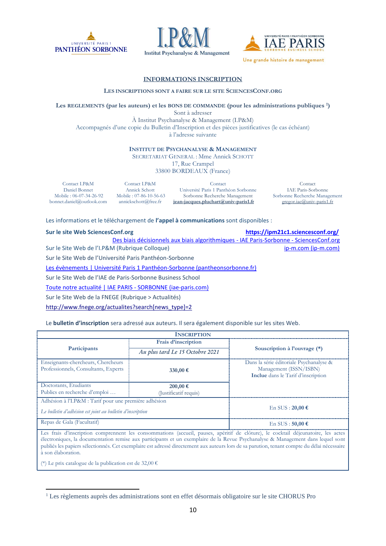





#### **INFORMATIONS INSCRIPTION**

#### **LES INSCRIPTIONS SONT A FAIRE SUR LE SITE SCIENCESCONF.ORG**

**Les REGLEMENTS (par les auteurs) et les BONS DE COMMANDE (pour les administrations publiques 1)** 

Sont à adresser À Institut Psychanalyse & Management (I.P&M) Accompagnés d'une copie du Bulletin d'Inscription et des pièces justificatives (le cas échéant) à l'adresse suivante

**INSTITUT DE PSYCHANALYSE & MANAGEMENT**

SECRETARIAT GENERAL : Mme Annick SCHOTT

17, Rue Crampel

33800 BORDEAUX (France)

Contact I.P&M Daniel Bonnet Mobile : 06-07-34-26-92 bonnet.daniel@outlook.com

Contact I.P&M Annick Schott Mobile : 07-86-10-56-63 annickschott@free.fr

Contact Université Paris 1 Panthéon Sorbonne Sorbonne Recherche Management **[jean-jacques.pluchart@univ-paris1.fr](mailto:jean-jacques.pluchart@univ-paris1.fr)**

Contact IAE Paris-Sorbonne Sorbonne Recherche Management [gregor.iae@univ-paris1.fr](mailto:gregor.iae@univ-paris1.fr)

Les informations et le téléchargement de **l'appel à communications** sont disponibles :

|  |  | Sur le site Web SciencesConf.or |
|--|--|---------------------------------|
|  |  |                                 |

**Sure 2018 Sure 2018 <https://ipm21c1.sciencesconf.org/>** 

[Des biais décisionnels aux biais algorithmiques -](https://ipm21c1.sciencesconf.org/) IAE Paris-Sorbonne - SciencesConf.org Sur le Site Web de l'I.P&M (Rubrique Colloque) [ip-m.com \(ip-m.com\)](http://ip-m.com/) ip-m.com (ip-m.com)

Sur le Site Web de l'Université Paris Panthéon-Sorbonne

[Les évènements | Université Paris 1 Panthéon-Sorbonne \(pantheonsorbonne.fr\)](https://www.pantheonsorbonne.fr/evenements)

Sur le Site Web de l'IAE de Paris-Sorbonne Business School

[Toute notre actualité | IAE PARIS -](http://www.iae-paris.com/fr/toute-notre-actualite?cat=event) SORBONNE (iae-paris.com)

Sur le Site Web de la FNEGE (Rubrique > Actualités)

[http://www.fnege.org/actualites?search\[news\\_type\]=2](http://www.fnege.org/actualites?search%5bnews_type%5d=2)

Le **bulletin d'inscription** sera adressé aux auteurs. Il sera également disponible sur les sites Web.

|                                                                                                                     | <b>INSCRIPTION</b>                    |                                                                                                                                                                                                                                                      |
|---------------------------------------------------------------------------------------------------------------------|---------------------------------------|------------------------------------------------------------------------------------------------------------------------------------------------------------------------------------------------------------------------------------------------------|
|                                                                                                                     | Frais d'inscription                   |                                                                                                                                                                                                                                                      |
| Participants                                                                                                        | Au plus tard Le 15 Octobre 2021       | Souscription à l'ouvrage (*)                                                                                                                                                                                                                         |
| Enseignants-chercheurs, Chercheurs<br>Professionnels, Consultants, Experts                                          | 330,00 €                              | Dans la série éditoriale Psychanalyse &<br>Management (ISSN/ISBN)<br>Inclue dans le Tarif d'inscription                                                                                                                                              |
| Doctorants, Etudiants<br>Publics en recherche d'emploi                                                              | $200,00 \in$<br>(Justificatif requis) |                                                                                                                                                                                                                                                      |
| Adhésion à l'I.P&M : Tarif pour une première adhésion<br>Le bulletin d'adhésion est joint au bulletin d'inscription |                                       | En SUS: $20,00 \in$                                                                                                                                                                                                                                  |
| Repas de Gala (Facultatif)                                                                                          |                                       | En SUS: $50,00 \in$                                                                                                                                                                                                                                  |
|                                                                                                                     |                                       | Les frais d'inscription comprennent les consommations (accueil, pauses, apéritif de clôture), le cocktail déjeunatoire, les actes<br>the contract of the contract of the contract of the contract of the contract of the contract of the contract of |

électroniques, la documentation remise aux participants et un exemplaire de la Revue Psychanalyse & Management dans lequel sont publiés les papiers sélectionnés. Cet exemplaire est adressé directement aux auteurs lors de sa parution, tenant compte du délai nécessaire à son élaboration.

(\*) Le prix catalogue de la publication est de 32,00 €

<sup>&</sup>lt;sup>1</sup> Les règlements auprès des administrations sont en effet désormais obligatoire sur le site CHORUS Pro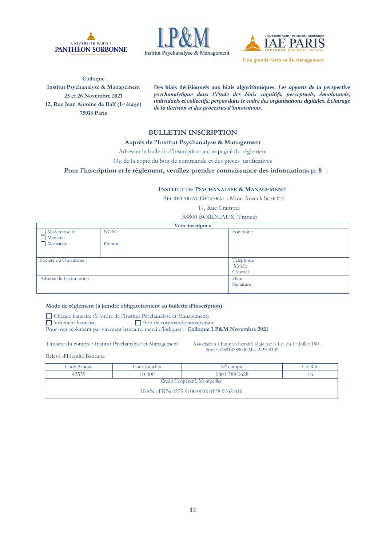





**Colloque Institut Psychanalyse & Management 25 et 26 Novembre 2021 12, Rue Jean Antoine de Baïf (1er étage) 75013 Paris**

**Des biais décisionnels aux biais algorithmiques.** *Les apports de la perspective psychanalytique dans l'étude des biais cognitifs, perceptuels, émotionnels, individuels et collectifs, perçus dans le cadre des organisations digitales. Éclairage de la décision et des processus d'innovations.*

#### **BULLETIN INSCRIPTION**

#### **Auprès de l'Institut Psychanalyse & Management**

Adresser le bulletin d'inscription accompagné du règlement

Ou de la copie du bon de commande et des pièces justificatives

**Pour l'inscription et le règlement, veuillez prendre connaissance des informations p. 8**

#### **INSTITUT DE PSYCHANALYSE & MANAGEMENT**

SECRETARIAT GENERAL : Mme Annick SCHOTT

17, Rue Crampel

33800 BORDEAUX (France)

|                          | Votre inscription |             |
|--------------------------|-------------------|-------------|
| $\Box$ Mademoiselle      | NOM:              | Fonction:   |
| Madame                   |                   |             |
| Monsieur                 | Prénom            |             |
|                          |                   |             |
|                          |                   |             |
| Société ou Organisme :   |                   | Téléphone   |
|                          |                   | Mobile      |
|                          |                   | Courriel    |
| Adresse de Facturation : |                   | Date:       |
|                          |                   | Signature : |
|                          |                   |             |

#### **Mode de règlement (à joindre obligatoirement au bulletin d'inscription)**

Chèque bancaire (à l'ordre de l'Institut Psychanalyse et Management)<br>
Universitant de l'Institut Dispute de commande universitant de la production de commande universitant de l'

 $\Box$  Bon de commande universitaire

Pour tout règlement par virement bancaire, merci d'indiquer : **Colloque I.P&M Novembre 2021**

Titulaire du compte : Institut Psychanalyse et Management Association à but non lucratif, régie par la Loi du 1er Juillet 1901

Siret : 41891428900024 – APE 913<sup>E</sup>

Relevé d'Identité Bancaire

| Code Banque                    | Code Guichet | $N^{\circ}$ compte                      | Clé Rib. |
|--------------------------------|--------------|-----------------------------------------|----------|
| 42559                          | 10 000       | 0801 389 0628                           |          |
| Crédit Coopératif, Montpellier |              |                                         |          |
|                                |              | IBAN: FR76 4255 9100 0008 0138 9062 816 |          |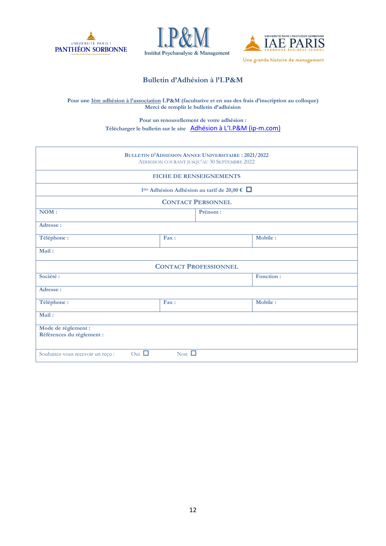





# **Bulletin d'Adhésion à l'I.P&M**

#### **Pour une 1ère adhésion à l'association I.P&M (facultative et en sus des frais d'inscription au colloque) Merci de remplir le bulletin d'adhésion**

**Pour un renouvellement de votre adhésion : Télécharger le bulletin sur le site** [Adhésion à L'I.P&M \(ip](http://ip-m.com/index.php/mpi/adhesion-ipm/)-m.com)

|                                                  |               | <b>BULLETIN D'ADHESION ANNEE UNIVERSITAIRE : 2021/2022</b><br>ADHESION COURANT JUSQU'AU 30 SEPTEMBRE 2022 |           |
|--------------------------------------------------|---------------|-----------------------------------------------------------------------------------------------------------|-----------|
|                                                  |               | <b>FICHE DE RENSEIGNEMENTS</b>                                                                            |           |
|                                                  |               | 1 <sup>ère</sup> Adhésion Adhésion au tarif de 20,00 € □                                                  |           |
|                                                  |               | <b>CONTACT PERSONNEL</b>                                                                                  |           |
| NOM:                                             |               | Prénom:                                                                                                   |           |
| Adresse:                                         |               |                                                                                                           |           |
| Téléphone:                                       | Fax:          |                                                                                                           | Mobile :  |
| Mail:                                            |               |                                                                                                           |           |
|                                                  |               | <b>CONTACT PROFESSIONNEL</b>                                                                              |           |
| Société :                                        |               |                                                                                                           | Fonction: |
| Adresse:                                         |               |                                                                                                           |           |
| Téléphone :                                      | Fax:          |                                                                                                           | Mobile:   |
| Mail:                                            |               |                                                                                                           |           |
| Mode de règlement :<br>Références du règlement : |               |                                                                                                           |           |
| Oui $\Box$<br>Souhaitez-vous recevoir un reçu :  | Non $\square$ |                                                                                                           |           |